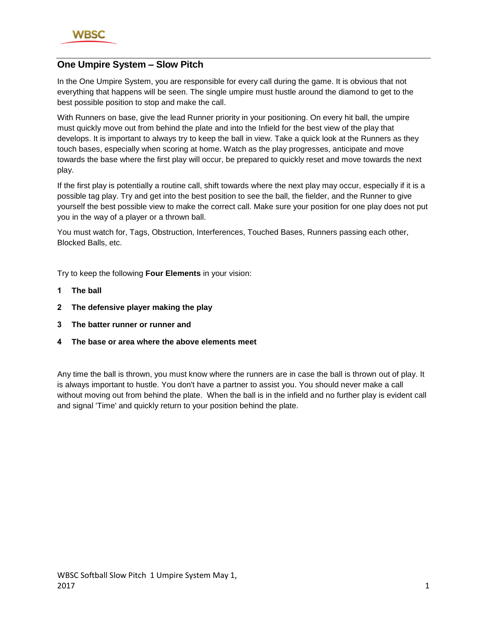

# **One Umpire System – Slow Pitch**

In the One Umpire System, you are responsible for every call during the game. It is obvious that not everything that happens will be seen. The single umpire must hustle around the diamond to get to the best possible position to stop and make the call.

With Runners on base, give the lead Runner priority in your positioning. On every hit ball, the umpire must quickly move out from behind the plate and into the Infield for the best view of the play that develops. It is important to always try to keep the ball in view. Take a quick look at the Runners as they touch bases, especially when scoring at home. Watch as the play progresses, anticipate and move towards the base where the first play will occur, be prepared to quickly reset and move towards the next play.

If the first play is potentially a routine call, shift towards where the next play may occur, especially if it is a possible tag play. Try and get into the best position to see the ball, the fielder, and the Runner to give yourself the best possible view to make the correct call. Make sure your position for one play does not put you in the way of a player or a thrown ball.

You must watch for, Tags, Obstruction, Interferences, Touched Bases, Runners passing each other, Blocked Balls, etc.

Try to keep the following **Four Elements** in your vision:

- **1 The ball**
- **2 The defensive player making the play**
- **3 The batter runner or runner and**
- **4 The base or area where the above elements meet**

Any time the ball is thrown, you must know where the runners are in case the ball is thrown out of play. It is always important to hustle. You don't have a partner to assist you. You should never make a call without moving out from behind the plate. When the ball is in the infield and no further play is evident call and signal 'Time' and quickly return to your position behind the plate.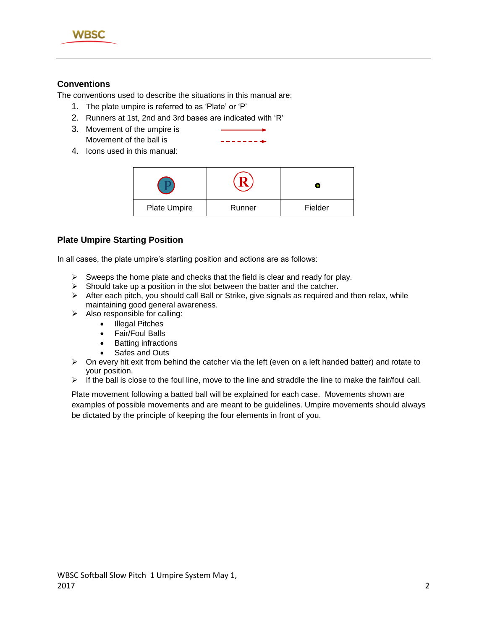

### **Conventions**

The conventions used to describe the situations in this manual are:

- 1. The plate umpire is referred to as 'Plate' or 'P'
- 2. Runners at 1st, 2nd and 3rd bases are indicated with 'R'
- 3. Movement of the umpire is Movement of the ball is
- $\frac{1}{2} \left( \frac{1}{2} \right) \left( \frac{1}{2} \right) \left( \frac{1}{2} \right) \left( \frac{1}{2} \right) \left( \frac{1}{2} \right) \left( \frac{1}{2} \right) \left( \frac{1}{2} \right) \left( \frac{1}{2} \right) \left( \frac{1}{2} \right) \left( \frac{1}{2} \right) \left( \frac{1}{2} \right) \left( \frac{1}{2} \right) \left( \frac{1}{2} \right) \left( \frac{1}{2} \right) \left( \frac{1}{2} \right) \left( \frac{1}{2} \right) \left( \frac$
- 4. Icons used in this manual:

| Plate Umpire | Runner | Fielder |
|--------------|--------|---------|

#### **Plate Umpire Starting Position**

In all cases, the plate umpire's starting position and actions are as follows:

- $\triangleright$  Sweeps the home plate and checks that the field is clear and ready for play.
- $\triangleright$  Should take up a position in the slot between the batter and the catcher.
- > After each pitch, you should call Ball or Strike, give signals as required and then relax, while maintaining good general awareness.
- $\triangleright$  Also responsible for calling:
	- Illegal Pitches
	- Fair/Foul Balls
	- Batting infractions
	- Safes and Outs
- $\triangleright$  On every hit exit from behind the catcher via the left (even on a left handed batter) and rotate to your position.
- $\triangleright$  If the ball is close to the foul line, move to the line and straddle the line to make the fair/foul call.

Plate movement following a batted ball will be explained for each case. Movements shown are examples of possible movements and are meant to be guidelines. Umpire movements should always be dictated by the principle of keeping the four elements in front of you.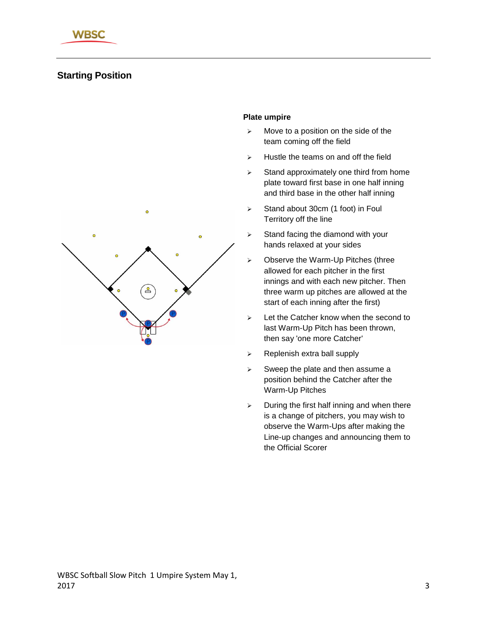# **Starting Position**



#### **Plate umpire**

- $\triangleright$  Move to a position on the side of the team coming off the field
- $\triangleright$  Hustle the teams on and off the field
- $\geq$  Stand approximately one third from home plate toward first base in one half inning and third base in the other half inning
- $\triangleright$  Stand about 30cm (1 foot) in Foul Territory off the line
- $\triangleright$  Stand facing the diamond with your hands relaxed at your sides
- $\triangleright$  Observe the Warm-Up Pitches (three allowed for each pitcher in the first innings and with each new pitcher. Then three warm up pitches are allowed at the start of each inning after the first)
- $\geq$  Let the Catcher know when the second to last Warm-Up Pitch has been thrown, then say 'one more Catcher'
- $\triangleright$  Replenish extra ball supply
- $\triangleright$  Sweep the plate and then assume a position behind the Catcher after the Warm-Up Pitches
- $\geq$  During the first half inning and when there is a change of pitchers, you may wish to observe the Warm-Ups after making the Line-up changes and announcing them to the Official Scorer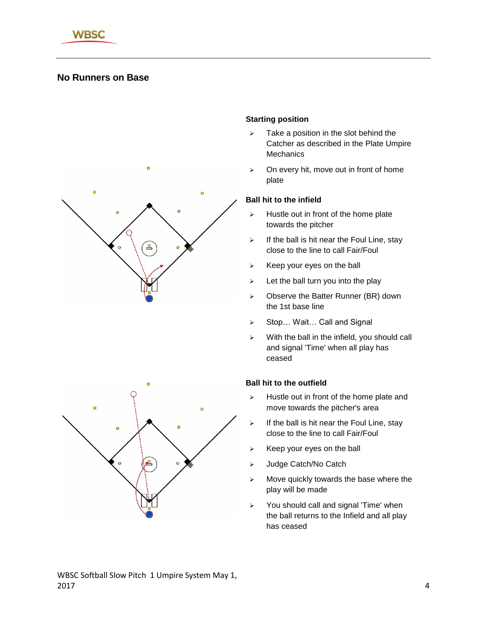

# **No Runners on Base**





#### **Starting position**

- $\triangleright$  Take a position in the slot behind the Catcher as described in the Plate Umpire **Mechanics**
- $\triangleright$  On every hit, move out in front of home plate

#### **Ball hit to the infield**

- $\triangleright$  Hustle out in front of the home plate towards the pitcher
- $\triangleright$  If the ball is hit near the Foul Line, stay close to the line to call Fair/Foul
- $\triangleright$  Keep your eyes on the ball
- $\geq$  Let the ball turn you into the play
- > Observe the Batter Runner (BR) down the 1st base line
- ▶ Stop... Wait... Call and Signal
- $\triangleright$  With the ball in the infield, you should call and signal 'Time' when all play has ceased

- $\triangleright$  Hustle out in front of the home plate and move towards the pitcher's area
- $\triangleright$  If the ball is hit near the Foul Line, stay close to the line to call Fair/Foul
- $\triangleright$  Keep your eyes on the ball
- > Judge Catch/No Catch
- $\triangleright$  Move quickly towards the base where the play will be made
- $\geq$  You should call and signal 'Time' when the ball returns to the Infield and all play has ceased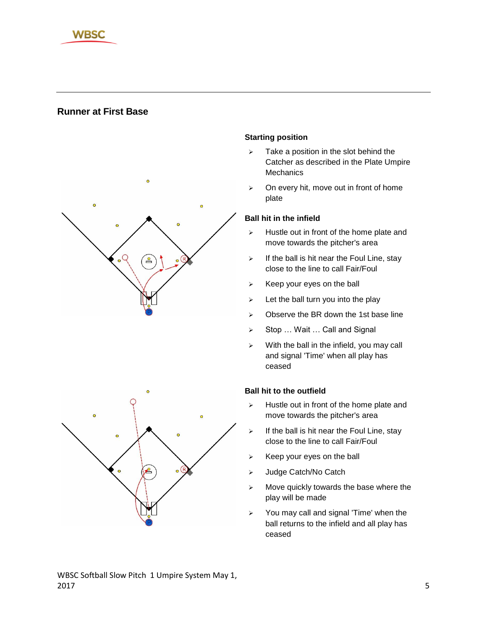

# **Runner at First Base**





## **Starting position**

- $\triangleright$  Take a position in the slot behind the Catcher as described in the Plate Umpire **Mechanics**
- $\triangleright$  On every hit, move out in front of home plate

#### **Ball hit in the infield**

- $\triangleright$  Hustle out in front of the home plate and move towards the pitcher's area
- $\triangleright$  If the ball is hit near the Foul Line, stay close to the line to call Fair/Foul
- $\triangleright$  Keep your eyes on the ball
- $\geq$  Let the ball turn you into the play
- $\geq$  Observe the BR down the 1st base line
- ▶ Stop ... Wait ... Call and Signal
- $\triangleright$  With the ball in the infield, you may call and signal 'Time' when all play has ceased

#### **Ball hit to the outfield**

- $\triangleright$  Hustle out in front of the home plate and move towards the pitcher's area
- $\triangleright$  If the ball is hit near the Foul Line, stay close to the line to call Fair/Foul
- $\triangleright$  Keep your eyes on the ball
- > Judge Catch/No Catch
- $\triangleright$  Move quickly towards the base where the play will be made
- $\geq$  You may call and signal 'Time' when the ball returns to the infield and all play has ceased

#### WBSC Softball Slow Pitch 1 Umpire System May 1,  $2017$  5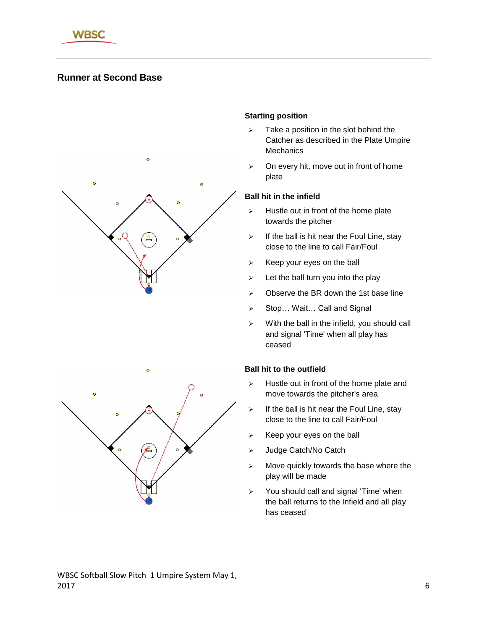

# **Runner at Second Base**





#### **Starting position**

- $\triangleright$  Take a position in the slot behind the Catcher as described in the Plate Umpire **Mechanics**
- $\geq$  On every hit, move out in front of home plate

#### **Ball hit in the infield**

- $\triangleright$  Hustle out in front of the home plate towards the pitcher
- $\triangleright$  If the ball is hit near the Foul Line, stay close to the line to call Fair/Foul
- $\triangleright$  Keep your eyes on the ball
- $\geq$  Let the ball turn you into the play
- $\triangleright$  Observe the BR down the 1st base line
- ▶ Stop... Wait... Call and Signal
- $\triangleright$  With the ball in the infield, you should call and signal 'Time' when all play has ceased

- $\triangleright$  Hustle out in front of the home plate and move towards the pitcher's area
- $\triangleright$  If the ball is hit near the Foul Line, stay close to the line to call Fair/Foul
- $\triangleright$  Keep your eyes on the ball
- > Judge Catch/No Catch
- $\triangleright$  Move quickly towards the base where the play will be made
- $\geq$  You should call and signal 'Time' when the ball returns to the Infield and all play has ceased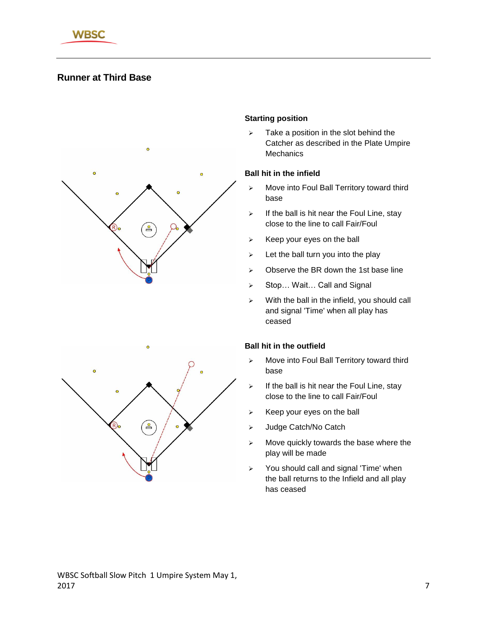

# **Runner at Third Base**



#### **Starting position**

 $\triangleright$  Take a position in the slot behind the Catcher as described in the Plate Umpire **Mechanics** 

#### **Ball hit in the infield**

- > Move into Foul Ball Territory toward third base
- $\triangleright$  If the ball is hit near the Foul Line, stay close to the line to call Fair/Foul
- $\triangleright$  Keep your eyes on the ball
- $\geq$  Let the ball turn you into the play
- $\triangleright$  Observe the BR down the 1st base line
- ▶ Stop... Wait... Call and Signal
- $\triangleright$  With the ball in the infield, you should call and signal 'Time' when all play has ceased



- $\triangleright$  Move into Foul Ball Territory toward third base
- $\triangleright$  If the ball is hit near the Foul Line, stay close to the line to call Fair/Foul
- $\triangleright$  Keep your eyes on the ball
- > Judge Catch/No Catch
- $\triangleright$  Move quickly towards the base where the play will be made
- You should call and signal 'Time' when the ball returns to the Infield and all play has ceased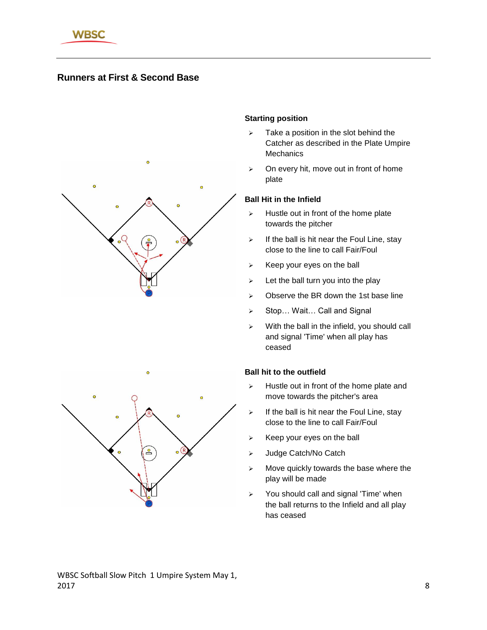

# **Runners at First & Second Base**



#### **Starting position**

- $\triangleright$  Take a position in the slot behind the Catcher as described in the Plate Umpire **Mechanics**
- $\triangleright$  On every hit, move out in front of home plate

#### **Ball Hit in the Infield**

- $\triangleright$  Hustle out in front of the home plate towards the pitcher
- $\triangleright$  If the ball is hit near the Foul Line, stay close to the line to call Fair/Foul
- $\triangleright$  Keep your eyes on the ball
- $\triangleright$  Let the ball turn you into the play
- $\geq$  Observe the BR down the 1st base line
- ▶ Stop... Wait... Call and Signal
- $\triangleright$  With the ball in the infield, you should call and signal 'Time' when all play has ceased

- $\triangleright$  Hustle out in front of the home plate and move towards the pitcher's area
- $\triangleright$  If the ball is hit near the Foul Line, stay close to the line to call Fair/Foul
- $\triangleright$  Keep your eyes on the ball
- > Judge Catch/No Catch
- $\triangleright$  Move quickly towards the base where the play will be made
- You should call and signal 'Time' when the ball returns to the Infield and all play has ceased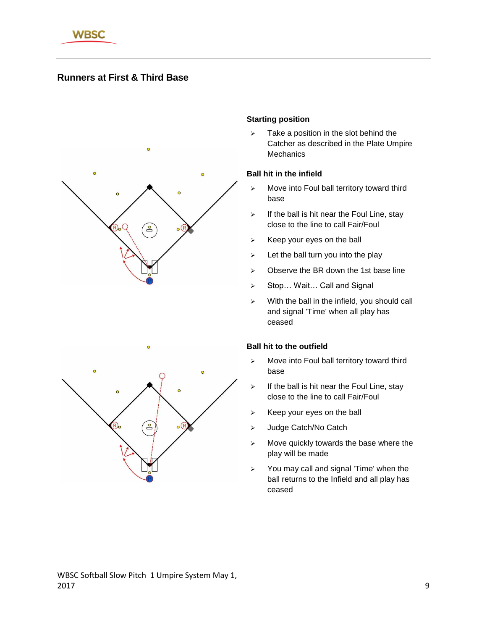

# **Runners at First & Third Base**



#### **Starting position**

 $\geq$  Take a position in the slot behind the Catcher as described in the Plate Umpire **Mechanics** 

#### **Ball hit in the infield**

- $\triangleright$  Move into Foul ball territory toward third base
- $\triangleright$  If the ball is hit near the Foul Line, stay close to the line to call Fair/Foul
- $\triangleright$  Keep your eyes on the ball
- $\geq$  Let the ball turn you into the play
- $\triangleright$  Observe the BR down the 1st base line
- ▶ Stop... Wait... Call and Signal
- $\triangleright$  With the ball in the infield, you should call and signal 'Time' when all play has ceased



- $\triangleright$  Move into Foul ball territory toward third base
- $\triangleright$  If the ball is hit near the Foul Line, stay close to the line to call Fair/Foul
- $\triangleright$  Keep your eyes on the ball
- > Judge Catch/No Catch
- $\triangleright$  Move quickly towards the base where the play will be made
- $\geq$  You may call and signal 'Time' when the ball returns to the Infield and all play has ceased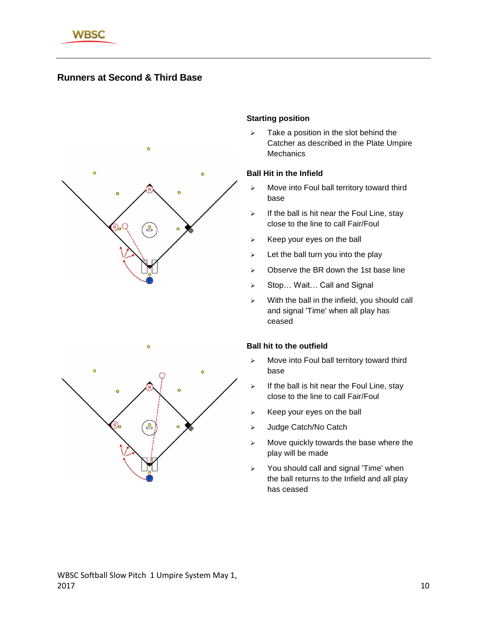

# **Runners at Second & Third Base**



#### **Starting position**

 $\triangleright$  Take a position in the slot behind the Catcher as described in the Plate Umpire **Mechanics** 

#### **Ball Hit in the Infield**

- $\triangleright$  Move into Foul ball territory toward third base
- $\triangleright$  If the ball is hit near the Foul Line, stay close to the line to call Fair/Foul
- $\triangleright$  Keep your eyes on the ball
- $\geq$  Let the ball turn you into the play
- $\triangleright$  Observe the BR down the 1st base line
- ▶ Stop... Wait... Call and Signal
- $\triangleright$  With the ball in the infield, you should call and signal 'Time' when all play has ceased



- $\triangleright$  Move into Foul ball territory toward third base
- $\triangleright$  If the ball is hit near the Foul Line, stay close to the line to call Fair/Foul
- $\triangleright$  Keep your eyes on the ball
- > Judge Catch/No Catch
- $\triangleright$  Move quickly towards the base where the play will be made
- You should call and signal 'Time' when the ball returns to the Infield and all play has ceased